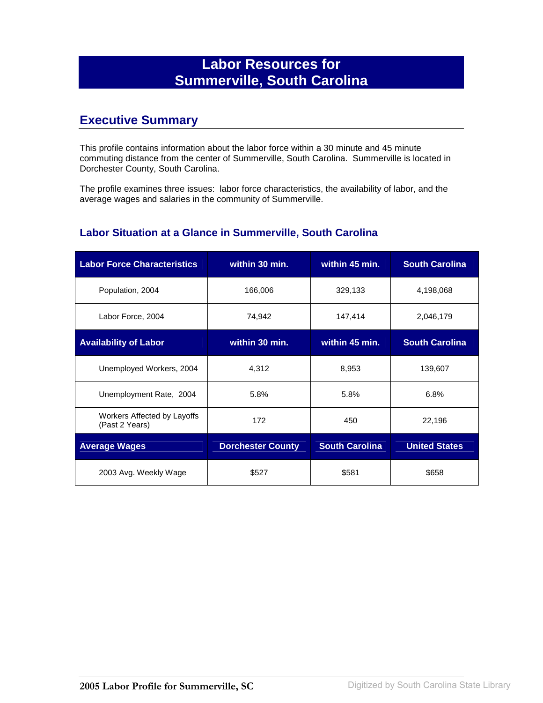# **Labor Resources for Summerville, South Carolina**

## **Executive Summary**

This profile contains information about the labor force within a 30 minute and 45 minute commuting distance from the center of Summerville, South Carolina. Summerville is located in Dorchester County, South Carolina.

The profile examines three issues: labor force characteristics, the availability of labor, and the average wages and salaries in the community of Summerville.

#### **Labor Situation at a Glance in Summerville, South Carolina**

| <b>Labor Force Characteristics</b>            | within 30 min.           | within 45 min.        | <b>South Carolina</b> |
|-----------------------------------------------|--------------------------|-----------------------|-----------------------|
| Population, 2004                              | 166,006                  | 329,133               | 4,198,068             |
| Labor Force, 2004                             | 74,942                   | 147,414               | 2,046,179             |
| <b>Availability of Labor</b>                  | within 30 min.           | within 45 min.        | <b>South Carolina</b> |
| Unemployed Workers, 2004                      | 4,312                    | 8,953                 | 139,607               |
| Unemployment Rate, 2004                       | 5.8%                     | 5.8%                  | 6.8%                  |
| Workers Affected by Layoffs<br>(Past 2 Years) | 172                      | 450                   | 22,196                |
| <b>Average Wages</b>                          | <b>Dorchester County</b> | <b>South Carolina</b> | <b>United States</b>  |
| 2003 Avg. Weekly Wage                         | \$527                    | \$581                 | \$658                 |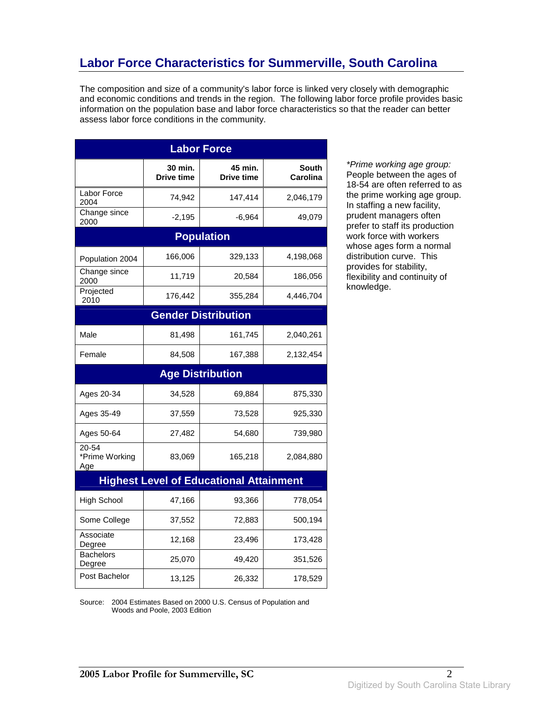# **Labor Force Characteristics for Summerville, South Carolina**

The composition and size of a community's labor force is linked very closely with demographic and economic conditions and trends in the region. The following labor force profile provides basic information on the population base and labor force characteristics so that the reader can better assess labor force conditions in the community.

| <b>Labor Force</b>             |                              |                                                |                          |
|--------------------------------|------------------------------|------------------------------------------------|--------------------------|
|                                | 30 min.<br><b>Drive time</b> | 45 min.<br>Drive time                          | <b>South</b><br>Carolina |
| Labor Force<br>2004            | 74,942                       | 147,414                                        | 2,046,179                |
| Change since<br>2000           | $-2,195$                     | $-6,964$                                       | 49,079                   |
|                                |                              | <b>Population</b>                              |                          |
| Population 2004                | 166,006                      | 329,133                                        | 4,198,068                |
| Change since<br>2000           | 11,719                       | 20,584                                         | 186,056                  |
| Projected<br>2010              | 176,442                      | 355,284                                        | 4,446,704                |
|                                |                              | <b>Gender Distribution</b>                     |                          |
| Male                           | 81,498                       | 161,745                                        | 2,040,261                |
| Female                         | 84,508                       | 167,388                                        | 2,132,454                |
|                                |                              | <b>Age Distribution</b>                        |                          |
| Ages 20-34                     | 34,528                       | 69,884                                         | 875,330                  |
| Ages 35-49                     | 37,559                       | 73,528                                         | 925,330                  |
| Ages 50-64                     | 27,482                       | 54,680                                         | 739,980                  |
| 20-54<br>*Prime Working<br>Age | 83,069                       | 165,218                                        | 2,084,880                |
|                                |                              | <b>Highest Level of Educational Attainment</b> |                          |
| <b>High School</b>             | 47,166                       | 93,366                                         | 778,054                  |
| Some College                   | 37,552                       | 72,883                                         | 500,194                  |
| Associate<br>Degree            | 12,168                       | 23,496                                         | 173,428                  |
| <b>Bachelors</b><br>Degree     | 25,070                       | 49,420                                         | 351,526                  |
| Post Bachelor                  | 13,125                       | 26,332                                         | 178,529                  |

\*Prime working age group: People between the ages of 18-54 are often referred to as the prime working age group. In staffing a new facility, prudent managers often prefer to staff its production work force with workers whose ages form a normal distribution curve. This provides for stability, flexibility and continuity of knowledge.

Source: 2004 Estimates Based on 2000 U.S. Census of Population and Woods and Poole, 2003 Edition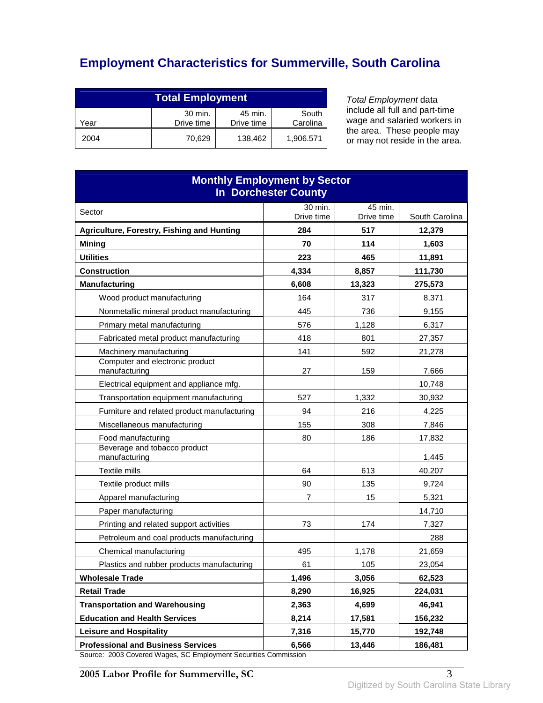# **Employment Characteristics for Summerville, South Carolina**

| <b>Total Employment</b>                                                     |        |         |           |
|-----------------------------------------------------------------------------|--------|---------|-----------|
| 30 min.<br>45 min.<br>South<br>Carolina<br>Drive time<br>Drive time<br>Year |        |         |           |
| 2004                                                                        | 70.629 | 138,462 | 1,906.571 |

Total Employment data include all full and part-time wage and salaried workers in the area. These people may or may not reside in the area.

| <b>Monthly Employment by Sector</b><br><b>In Dorchester County</b> |                |               |                  |
|--------------------------------------------------------------------|----------------|---------------|------------------|
| Sector                                                             | 30 min.        | 45 min.       |                  |
|                                                                    | Drive time     | Drive time    | South Carolina   |
| Agriculture, Forestry, Fishing and Hunting                         | 284            | 517           | 12,379           |
| <b>Mining</b>                                                      | 70             | 114           | 1,603            |
| <b>Utilities</b><br><b>Construction</b>                            | 223<br>4,334   | 465<br>8.857  | 11,891           |
| <b>Manufacturing</b>                                               | 6,608          |               | 111,730          |
|                                                                    | 164            | 13,323<br>317 | 275,573<br>8,371 |
| Wood product manufacturing                                         |                |               |                  |
| Nonmetallic mineral product manufacturing                          | 445            | 736           | 9,155            |
| Primary metal manufacturing                                        | 576            | 1,128         | 6,317            |
| Fabricated metal product manufacturing                             | 418            | 801           | 27,357           |
| Machinery manufacturing<br>Computer and electronic product         | 141            | 592           | 21,278           |
| manufacturing                                                      | 27             | 159           | 7,666            |
| Electrical equipment and appliance mfg.                            |                |               | 10,748           |
| Transportation equipment manufacturing                             | 527            | 1,332         | 30,932           |
| Furniture and related product manufacturing                        | 94             | 216           | 4,225            |
| Miscellaneous manufacturing                                        | 155            | 308           | 7,846            |
| Food manufacturing                                                 | 80             | 186           | 17,832           |
| Beverage and tobacco product<br>manufacturing                      |                |               | 1,445            |
| Textile mills                                                      | 64             | 613           | 40,207           |
| Textile product mills                                              | 90             | 135           | 9,724            |
| Apparel manufacturing                                              | $\overline{7}$ | 15            | 5,321            |
| Paper manufacturing                                                |                |               | 14,710           |
| Printing and related support activities                            | 73             | 174           | 7,327            |
| Petroleum and coal products manufacturing                          |                |               | 288              |
| Chemical manufacturing                                             | 495            | 1,178         | 21,659           |
| Plastics and rubber products manufacturing                         | 61             | 105           | 23,054           |
| <b>Wholesale Trade</b>                                             | 1,496          | 3,056         | 62,523           |
| <b>Retail Trade</b>                                                | 8,290          | 16,925        | 224,031          |
| <b>Transportation and Warehousing</b>                              | 2,363          | 4,699         | 46,941           |
| <b>Education and Health Services</b>                               | 8,214          | 17,581        | 156,232          |
| <b>Leisure and Hospitality</b>                                     | 7,316          | 15,770        | 192,748          |
| <b>Professional and Business Services</b>                          | 6,566          | 13,446        | 186,481          |

Source: 2003 Covered Wages, SC Employment Securities Commission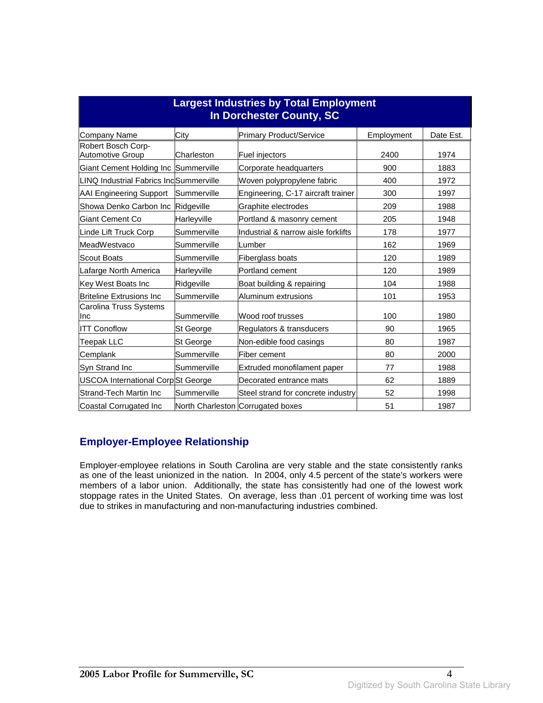| <b>Largest Industries by Total Employment</b><br>In Dorchester County, SC |             |                                     |            |           |
|---------------------------------------------------------------------------|-------------|-------------------------------------|------------|-----------|
| Company Name                                                              | City        | <b>Primary Product/Service</b>      | Employment | Date Est. |
| Robert Bosch Corp-<br><b>Automotive Group</b>                             | Charleston  | Fuel injectors                      | 2400       | 1974      |
| Giant Cement Holding Inc Summerville                                      |             | Corporate headquarters              | 900        | 1883      |
| <b>LINQ Industrial Fabrics Inc</b> Summerville                            |             | Woven polypropylene fabric          | 400        | 1972      |
| <b>AAI Engineering Support</b>                                            | Summerville | Engineering, C-17 aircraft trainer  | 300        | 1997      |
| Showa Denko Carbon Inc                                                    | Ridgeville  | Graphite electrodes                 | 209        | 1988      |
| Giant Cement Co                                                           | Harleyville | Portland & masonry cement           | 205        | 1948      |
| Linde Lift Truck Corp                                                     | Summerville | Industrial & narrow aisle forklifts | 178        | 1977      |
| MeadWestvaco                                                              | Summerville | Lumber                              | 162        | 1969      |
| <b>Scout Boats</b>                                                        | Summerville | <b>Fiberglass boats</b>             | 120        | 1989      |
| afarge North America                                                      | Harleyville | <b>Portland cement</b>              | 120        | 1989      |
| Key West Boats Inc                                                        | Ridgeville  | Boat building & repairing           | 104        | 1988      |
| <b>Briteline Extrusions Inc</b>                                           | Summerville | Aluminum extrusions                 | 101        | 1953      |
| Carolina Truss Systems<br>Ilnc                                            | Summerville | Wood roof trusses                   | 100        | 1980      |
| <b>ITT Conoflow</b>                                                       | St George   | Regulators & transducers            | 90         | 1965      |
| Teepak LLC                                                                | St George   | Non-edible food casings             | 80         | 1987      |
| Cemplank                                                                  | Summerville | Fiber cement                        | 80         | 2000      |
| Syn Strand Inc                                                            | Summerville | Extruded monofilament paper         | 77         | 1988      |
| USCOA International CorpSt George                                         |             | Decorated entrance mats             | 62         | 1889      |
| <b>Strand-Tech Martin Inc</b>                                             | Summerville | Steel strand for concrete industry  | 52         | 1998      |
| Coastal Corrugated Inc                                                    |             | North Charleston Corrugated boxes   | 51         | 1987      |

#### **Employer-Employee Relationship**

Employer-employee relations in South Carolina are very stable and the state consistently ranks as one of the least unionized in the nation. In 2004, only 4.5 percent of the state's workers were members of a labor union. Additionally, the state has consistently had one of the lowest work stoppage rates in the United States. On average, less than .01 percent of working time was lost due to strikes in manufacturing and non-manufacturing industries combined.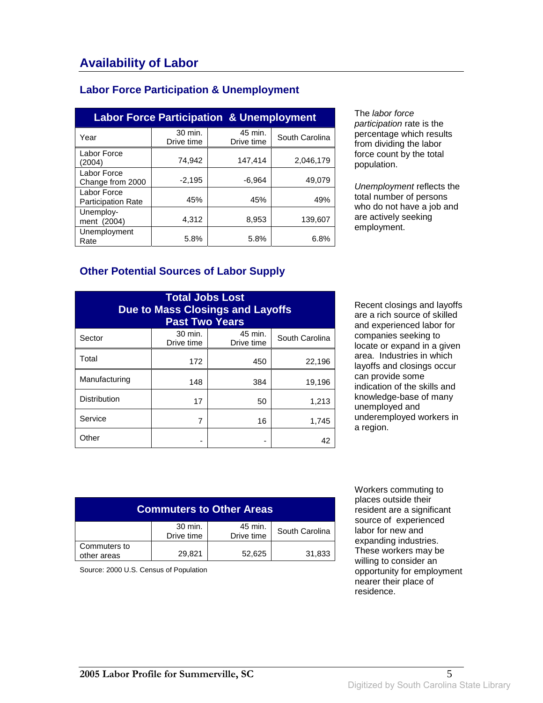#### **Labor Force Participation & Unemployment**

| <b>Labor Force Participation &amp; Unemployment</b> |                       |                       |                |
|-----------------------------------------------------|-----------------------|-----------------------|----------------|
| Year                                                | 30 min.<br>Drive time | 45 min.<br>Drive time | South Carolina |
| Labor Force<br>(2004)                               | 74.942                | 147,414               | 2,046,179      |
| Labor Force<br>Change from 2000                     | $-2.195$              | $-6.964$              | 49.079         |
| Labor Force<br><b>Participation Rate</b>            | 45%                   | 45%                   | 49%            |
| Unemploy-<br>ment (2004)                            | 4,312                 | 8,953                 | 139,607        |
| Unemployment<br>Rate                                | 5.8%                  | 5.8%                  | 6.8%           |

The labor force participation rate is the percentage which results from dividing the labor force count by the total population.

Unemployment reflects the total number of persons who do not have a job and are actively seeking employment.

#### **Other Potential Sources of Labor Supply**

| <b>Total Jobs Lost</b><br><b>Due to Mass Closings and Layoffs</b><br><b>Past Two Years</b> |                       |                       |                |
|--------------------------------------------------------------------------------------------|-----------------------|-----------------------|----------------|
| Sector                                                                                     | 30 min.<br>Drive time | 45 min.<br>Drive time | South Carolina |
| Total                                                                                      | 172                   | 450                   | 22,196         |
| Manufacturing                                                                              | 148                   | 384                   | 19,196         |
| <b>Distribution</b>                                                                        | 17                    | 50                    | 1,213          |
| Service                                                                                    | 7                     | 16                    | 1,745          |
| Other                                                                                      |                       |                       | 42             |

Recent closings and layoffs are a rich source of skilled and experienced labor for companies seeking to locate or expand in a given area. Industries in which layoffs and closings occur can provide some indication of the skills and knowledge-base of many unemployed and underemployed workers in a region.

| <b>Commuters to Other Areas</b> |                       |                       |                |
|---------------------------------|-----------------------|-----------------------|----------------|
|                                 | 30 min.<br>Drive time | 45 min.<br>Drive time | South Carolina |
| Commuters to<br>other areas     | 29,821                | 52,625                | 31,833         |

Source: 2000 U.S. Census of Population

 Workers commuting to places outside their resident are a significant source of experienced labor for new and expanding industries. These workers may be willing to consider an opportunity for employment nearer their place of residence.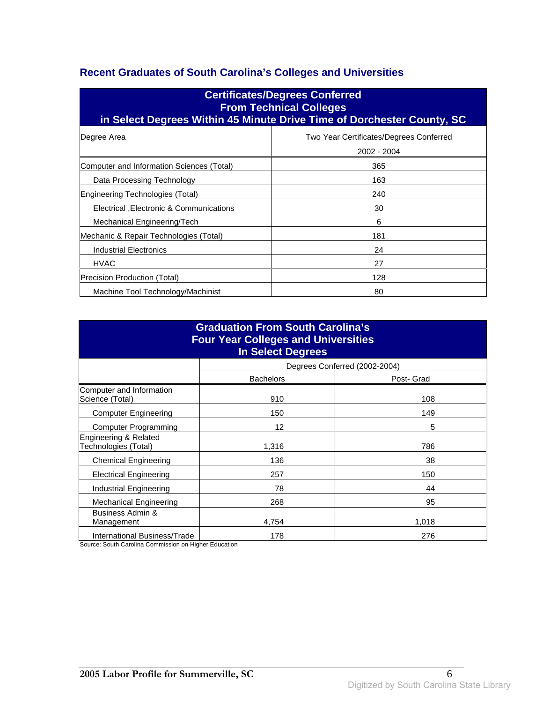### **Recent Graduates of South Carolina's Colleges and Universities**

| <b>Certificates/Degrees Conferred</b><br><b>From Technical Colleges</b><br>in Select Degrees Within 45 Minute Drive Time of Dorchester County, SC |                                                        |  |  |
|---------------------------------------------------------------------------------------------------------------------------------------------------|--------------------------------------------------------|--|--|
| Degree Area                                                                                                                                       | Two Year Certificates/Degrees Conferred<br>2002 - 2004 |  |  |
| Computer and Information Sciences (Total)                                                                                                         | 365                                                    |  |  |
| Data Processing Technology                                                                                                                        | 163                                                    |  |  |
| Engineering Technologies (Total)                                                                                                                  | 240                                                    |  |  |
| Electrical , Electronic & Communications                                                                                                          | 30                                                     |  |  |
| Mechanical Engineering/Tech                                                                                                                       | 6                                                      |  |  |
| Mechanic & Repair Technologies (Total)                                                                                                            | 181                                                    |  |  |
| Industrial Electronics                                                                                                                            | 24                                                     |  |  |
| <b>HVAC</b>                                                                                                                                       | 27                                                     |  |  |
| Precision Production (Total)                                                                                                                      | 128                                                    |  |  |
| Machine Tool Technology/Machinist                                                                                                                 | 80                                                     |  |  |

| <b>Graduation From South Carolina's</b><br><b>Four Year Colleges and Universities</b><br><b>In Select Degrees</b> |                  |                               |  |
|-------------------------------------------------------------------------------------------------------------------|------------------|-------------------------------|--|
|                                                                                                                   |                  | Degrees Conferred (2002-2004) |  |
|                                                                                                                   | <b>Bachelors</b> | Post- Grad                    |  |
| Computer and Information<br>Science (Total)                                                                       | 910              | 108                           |  |
| <b>Computer Engineering</b>                                                                                       | 150              | 149                           |  |
| <b>Computer Programming</b>                                                                                       | 12               | 5                             |  |
| Engineering & Related<br>Technologies (Total)                                                                     | 1,316            | 786                           |  |
| <b>Chemical Engineering</b>                                                                                       | 136              | 38                            |  |
| <b>Electrical Engineering</b>                                                                                     | 257              | 150                           |  |
| Industrial Engineering                                                                                            | 78               | 44                            |  |
| <b>Mechanical Engineering</b>                                                                                     | 268              | 95                            |  |
| Business Admin &<br>Management                                                                                    | 4,754            | 1,018                         |  |
| <b>International Business/Trade</b>                                                                               | 178              | 276                           |  |

Source: South Carolina Commission on Higher Education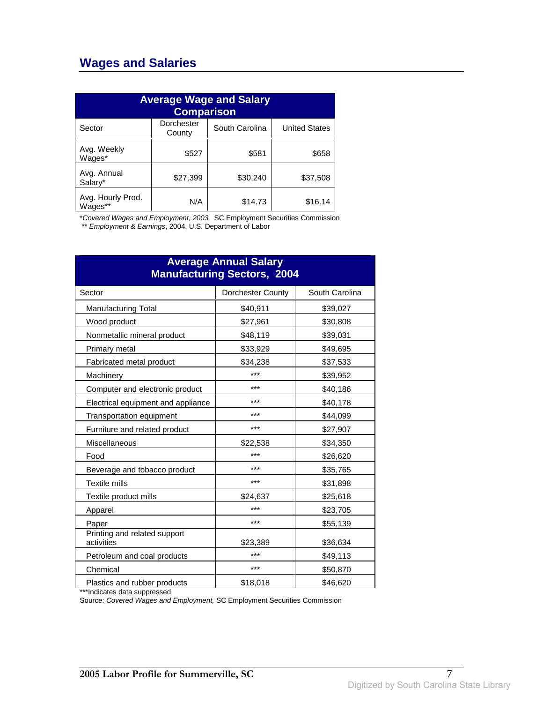## **Wages and Salaries**

| <b>Average Wage and Salary</b><br><b>Comparison</b> |                      |                |                      |
|-----------------------------------------------------|----------------------|----------------|----------------------|
| Sector                                              | Dorchester<br>County | South Carolina | <b>United States</b> |
| Avg. Weekly<br>Wages*                               | \$527                | \$581          | \$658                |
| Avg. Annual<br>Salary*                              | \$27,399             | \$30,240       | \$37,508             |
| Avg. Hourly Prod.<br>Wages**                        | N/A                  | \$14.73        | \$16.14              |

\*Covered Wages and Employment, 2003, SC Employment Securities Commission

\*\* Employment & Earnings, 2004, U.S. Department of Labor

| <b>Average Annual Salary</b><br><b>Manufacturing Sectors, 2004</b> |                          |                |  |
|--------------------------------------------------------------------|--------------------------|----------------|--|
| Sector                                                             | <b>Dorchester County</b> | South Carolina |  |
| <b>Manufacturing Total</b>                                         | \$40,911                 | \$39,027       |  |
| Wood product                                                       | \$27,961                 | \$30,808       |  |
| Nonmetallic mineral product                                        | \$48,119                 | \$39,031       |  |
| Primary metal                                                      | \$33,929                 | \$49,695       |  |
| Fabricated metal product                                           | \$34,238                 | \$37,533       |  |
| Machinery                                                          | ***                      | \$39,952       |  |
| Computer and electronic product                                    | ***                      | \$40,186       |  |
| Electrical equipment and appliance                                 | ***                      | \$40,178       |  |
| Transportation equipment                                           | ***                      | \$44,099       |  |
| Furniture and related product                                      | ***                      | \$27,907       |  |
| <b>Miscellaneous</b>                                               | \$22,538                 | \$34,350       |  |
| Food                                                               | ***                      | \$26,620       |  |
| Beverage and tobacco product                                       | ***                      | \$35,765       |  |
| <b>Textile mills</b>                                               | ***                      | \$31,898       |  |
| Textile product mills                                              | \$24,637                 | \$25,618       |  |
| Apparel                                                            | ***                      | \$23,705       |  |
| Paper                                                              | ***                      | \$55,139       |  |
| Printing and related support<br>activities                         | \$23,389                 | \$36,634       |  |
| Petroleum and coal products                                        | ***                      | \$49,113       |  |
| Chemical                                                           | ***                      | \$50,870       |  |
| Plastics and rubber products                                       | \$18,018                 | \$46,620       |  |

\*\*\*Indicates data suppressed

Source: Covered Wages and Employment, SC Employment Securities Commission